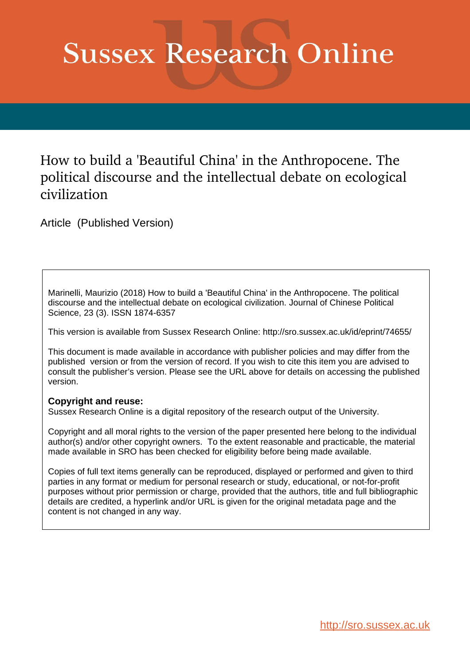# **Sussex Research Online**

# How to build a 'Beautiful China' in the Anthropocene. The political discourse and the intellectual debate on ecological civilization

Article (Published Version)

Marinelli, Maurizio (2018) How to build a 'Beautiful China' in the Anthropocene. The political discourse and the intellectual debate on ecological civilization. Journal of Chinese Political Science, 23 (3). ISSN 1874-6357

This version is available from Sussex Research Online: http://sro.sussex.ac.uk/id/eprint/74655/

This document is made available in accordance with publisher policies and may differ from the published version or from the version of record. If you wish to cite this item you are advised to consult the publisher's version. Please see the URL above for details on accessing the published version.

# **Copyright and reuse:**

Sussex Research Online is a digital repository of the research output of the University.

Copyright and all moral rights to the version of the paper presented here belong to the individual author(s) and/or other copyright owners. To the extent reasonable and practicable, the material made available in SRO has been checked for eligibility before being made available.

Copies of full text items generally can be reproduced, displayed or performed and given to third parties in any format or medium for personal research or study, educational, or not-for-profit purposes without prior permission or charge, provided that the authors, title and full bibliographic details are credited, a hyperlink and/or URL is given for the original metadata page and the content is not changed in any way.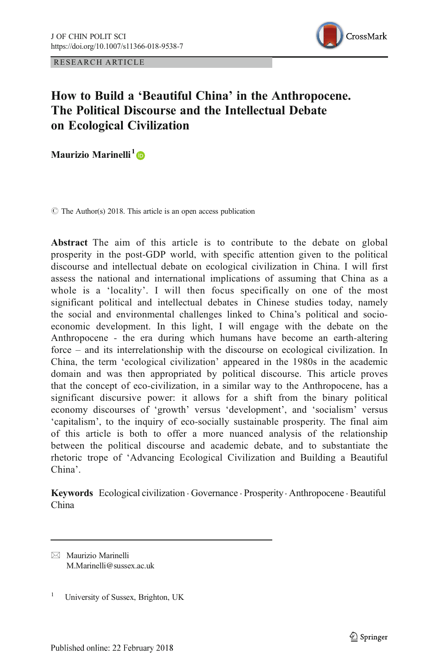RESEARCH ARTICLE



# How to Build a 'Beautiful China' in the Anthropocene. The Political Discourse and the Intellectual Debate on Ecological Civilization

Maurizio Marinelli<sup>1</sup>

 $\circ$  The Author(s) 2018. This article is an open access publication

Abstract The aim of this article is to contribute to the debate on global prosperity in the post-GDP world, with specific attention given to the political discourse and intellectual debate on ecological civilization in China. I will first assess the national and international implications of assuming that China as a whole is a 'locality'. I will then focus specifically on one of the most significant political and intellectual debates in Chinese studies today, namely the social and environmental challenges linked to China's political and socioeconomic development. In this light, I will engage with the debate on the Anthropocene - the era during which humans have become an earth-altering force – and its interrelationship with the discourse on ecological civilization. In China, the term 'ecological civilization' appeared in the 1980s in the academic domain and was then appropriated by political discourse. This article proves that the concept of eco-civilization, in a similar way to the Anthropocene, has a significant discursive power: it allows for a shift from the binary political economy discourses of 'growth' versus 'development', and 'socialism' versus 'capitalism', to the inquiry of eco-socially sustainable prosperity. The final aim of this article is both to offer a more nuanced analysis of the relationship between the political discourse and academic debate, and to substantiate the rhetoric trope of 'Advancing Ecological Civilization and Building a Beautiful China'.

Keywords Ecological civilization · Governance · Prosperity · Anthropocene · Beautiful China

 $\boxtimes$  Maurizio Marinelli [M.Marinelli@sussex.ac.uk](mailto:M.Marinelli@sussex.ac.uk)

<sup>&</sup>lt;sup>1</sup> University of Sussex, Brighton, UK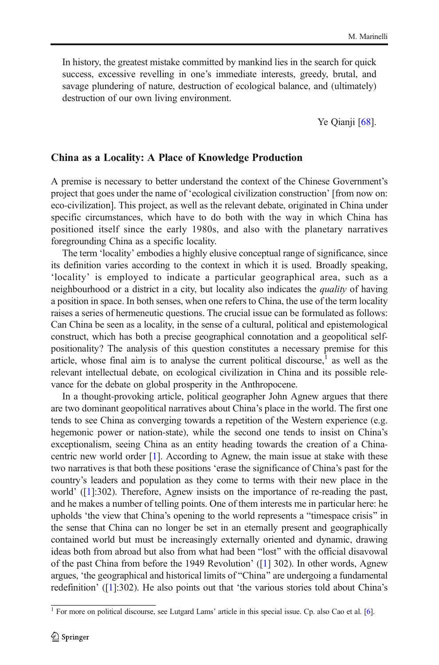In history, the greatest mistake committed by mankind lies in the search for quick success, excessive revelling in one's immediate interests, greedy, brutal, and savage plundering of nature, destruction of ecological balance, and (ultimately) destruction of our own living environment.

Ye Oianii [[68](#page-22-0)].

## China as a Locality: A Place of Knowledge Production

A premise is necessary to better understand the context of the Chinese Government's project that goes under the name of 'ecological civilization construction' [from now on: eco-civilization]. This project, as well as the relevant debate, originated in China under specific circumstances, which have to do both with the way in which China has positioned itself since the early 1980s, and also with the planetary narratives foregrounding China as a specific locality.

The term 'locality' embodies a highly elusive conceptual range of significance, since its definition varies according to the context in which it is used. Broadly speaking, 'locality' is employed to indicate a particular geographical area, such as a neighbourhood or a district in a city, but locality also indicates the *quality* of having a position in space. In both senses, when one refers to China, the use of the term locality raises a series of hermeneutic questions. The crucial issue can be formulated as follows: Can China be seen as a locality, in the sense of a cultural, political and epistemological construct, which has both a precise geographical connotation and a geopolitical selfpositionality? The analysis of this question constitutes a necessary premise for this article, whose final aim is to analyse the current political discourse, $<sup>1</sup>$  as well as the</sup> relevant intellectual debate, on ecological civilization in China and its possible relevance for the debate on global prosperity in the Anthropocene.

In a thought-provoking article, political geographer John Agnew argues that there are two dominant geopolitical narratives about China's place in the world. The first one tends to see China as converging towards a repetition of the Western experience (e.g. hegemonic power or nation-state), while the second one tends to insist on China's exceptionalism, seeing China as an entity heading towards the creation of a Chinacentric new world order [[1](#page-20-0)]. According to Agnew, the main issue at stake with these two narratives is that both these positions 'erase the significance of China's past for the country's leaders and population as they come to terms with their new place in the world' ([[1\]](#page-20-0):302). Therefore, Agnew insists on the importance of re-reading the past, and he makes a number of telling points. One of them interests me in particular here: he upholds 'the view that China's opening to the world represents a "timespace crisis" in the sense that China can no longer be set in an eternally present and geographically contained world but must be increasingly externally oriented and dynamic, drawing ideas both from abroad but also from what had been "lost" with the official disavowal of the past China from before the 1949 Revolution' ([\[1](#page-20-0)] 302). In other words, Agnew argues, 'the geographical and historical limits of "China" are undergoing a fundamental redefinition' ([[1](#page-20-0)]:302). He also points out that 'the various stories told about China's

<sup>&</sup>lt;sup>1</sup> For more on political discourse, see Lutgard Lams' article in this special issue. Cp. also Cao et al. [\[6\]](#page-20-0).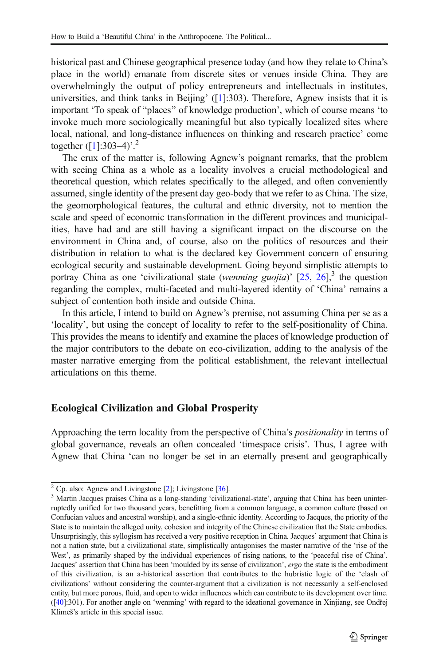historical past and Chinese geographical presence today (and how they relate to China's place in the world) emanate from discrete sites or venues inside China. They are overwhelmingly the output of policy entrepreneurs and intellectuals in institutes, universities, and think tanks in Beijing' ([\[1](#page-20-0)]:303). Therefore, Agnew insists that it is important 'To speak of "places" of knowledge production', which of course means 'to invoke much more sociologically meaningful but also typically localized sites where local, national, and long-distance influences on thinking and research practice' come together ([[1\]](#page-20-0):303–4)'. 2

The crux of the matter is, following Agnew's poignant remarks, that the problem with seeing China as a whole as a locality involves a crucial methodological and theoretical question, which relates specifically to the alleged, and often conveniently assumed, single identity of the present day geo-body that we refer to as China. The size, the geomorphological features, the cultural and ethnic diversity, not to mention the scale and speed of economic transformation in the different provinces and municipalities, have had and are still having a significant impact on the discourse on the environment in China and, of course, also on the politics of resources and their distribution in relation to what is the declared key Government concern of ensuring ecological security and sustainable development. Going beyond simplistic attempts to portray China as one 'civilizational state (*wenming guojia*)' [\[25,](#page-21-0) [26](#page-21-0)],<sup>3</sup> the question regarding the complex, multi-faceted and multi-layered identity of 'China' remains a subject of contention both inside and outside China.

In this article, I intend to build on Agnew's premise, not assuming China per se as a 'locality', but using the concept of locality to refer to the self-positionality of China. This provides the means to identify and examine the places of knowledge production of the major contributors to the debate on eco-civilization, adding to the analysis of the master narrative emerging from the political establishment, the relevant intellectual articulations on this theme.

## Ecological Civilization and Global Prosperity

Approaching the term locality from the perspective of China's *positionality* in terms of global governance, reveals an often concealed 'timespace crisis'. Thus, I agree with Agnew that China 'can no longer be set in an eternally present and geographically

<sup>&</sup>lt;sup>2</sup> Cp. also: Agnew and Livingstone [\[2\]](#page-20-0); Livingstone [\[36\]](#page-21-0).<br><sup>3</sup> Martin Jacques praises China as a long-standing 'civilizational-state', arguing that China has been uninterruptedly unified for two thousand years, benefitting from a common language, a common culture (based on Confucian values and ancestral worship), and a single-ethnic identity. According to Jacques, the priority of the State is to maintain the alleged unity, cohesion and integrity of the Chinese civilization that the State embodies. Unsurprisingly, this syllogism has received a very positive reception in China. Jacques' argument that China is not a nation state, but a civilizational state, simplistically antagonises the master narrative of the 'rise of the West', as primarily shaped by the individual experiences of rising nations, to the 'peaceful rise of China'. Jacques' assertion that China has been 'moulded by its sense of civilization', ergo the state is the embodiment of this civilization, is an a-historical assertion that contributes to the hubristic logic of the 'clash of civilizations' without considering the counter-argument that a civilization is not necessarily a self-enclosed entity, but more porous, fluid, and open to wider influences which can contribute to its development over time. ([\[40\]](#page-21-0):301). For another angle on 'wenming' with regard to the ideational governance in Xinjiang, see Ondřej Klimeš's article in this special issue.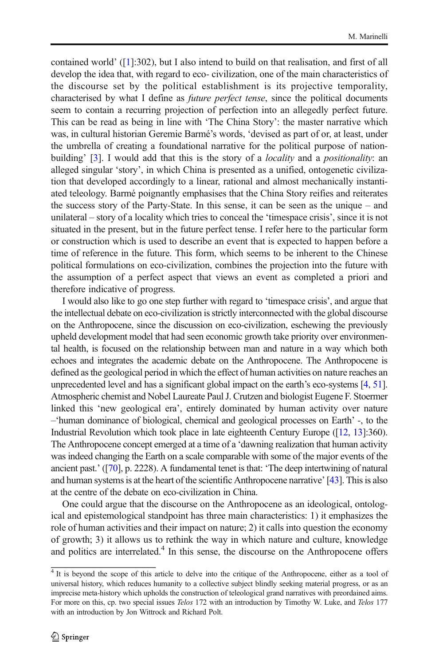contained world' ([\[1\]](#page-20-0):302), but I also intend to build on that realisation, and first of all develop the idea that, with regard to eco- civilization, one of the main characteristics of the discourse set by the political establishment is its projective temporality, characterised by what I define as future perfect tense, since the political documents seem to contain a recurring projection of perfection into an allegedly perfect future. This can be read as being in line with 'The China Story': the master narrative which was, in cultural historian Geremie Barmé's words, 'devised as part of or, at least, under the umbrella of creating a foundational narrative for the political purpose of nation-building' [\[3](#page-20-0)]. I would add that this is the story of a *locality* and a *positionality*: an alleged singular 'story', in which China is presented as a unified, ontogenetic civilization that developed accordingly to a linear, rational and almost mechanically instantiated teleology. Barmé poignantly emphasises that the China Story reifies and reiterates the success story of the Party-State. In this sense, it can be seen as the unique – and unilateral – story of a locality which tries to conceal the 'timespace crisis', since it is not situated in the present, but in the future perfect tense. I refer here to the particular form or construction which is used to describe an event that is expected to happen before a time of reference in the future. This form, which seems to be inherent to the Chinese political formulations on eco-civilization, combines the projection into the future with the assumption of a perfect aspect that views an event as completed a priori and therefore indicative of progress.

I would also like to go one step further with regard to 'timespace crisis', and argue that the intellectual debate on eco-civilization is strictly interconnected with the global discourse on the Anthropocene, since the discussion on eco-civilization, eschewing the previously upheld development model that had seen economic growth take priority over environmental health, is focused on the relationship between man and nature in a way which both echoes and integrates the academic debate on the Anthropocene. The Anthropocene is defined as the geological period in which the effect of human activities on nature reaches an unprecedented level and has a significant global impact on the earth's eco-systems [\[4,](#page-20-0) [51\]](#page-21-0). Atmospheric chemist and Nobel Laureate Paul J. Crutzen and biologist Eugene F. Stoermer linked this 'new geological era', entirely dominated by human activity over nature –'human dominance of biological, chemical and geological processes on Earth' -, to the Industrial Revolution which took place in late eighteenth Century Europe ([\[12](#page-20-0), [13](#page-20-0)]:360). The Anthropocene concept emerged at a time of a 'dawning realization that human activity was indeed changing the Earth on a scale comparable with some of the major events of the ancient past.' ([\[70\]](#page-22-0), p. 2228). A fundamental tenet is that: 'The deep intertwining of natural and human systems is at the heart of the scientific Anthropocene narrative' [\[43\]](#page-21-0). This is also at the centre of the debate on eco-civilization in China.

One could argue that the discourse on the Anthropocene as an ideological, ontological and epistemological standpoint has three main characteristics: 1) it emphasizes the role of human activities and their impact on nature; 2) it calls into question the economy of growth; 3) it allows us to rethink the way in which nature and culture, knowledge and politics are interrelated. $4$  In this sense, the discourse on the Anthropocene offers

 $4$  It is beyond the scope of this article to delve into the critique of the Anthropocene, either as a tool of universal history, which reduces humanity to a collective subject blindly seeking material progress, or as an imprecise meta-history which upholds the construction of teleological grand narratives with preordained aims. For more on this, cp. two special issues Telos 172 with an introduction by Timothy W. Luke, and Telos 177 with an introduction by Jon Wittrock and Richard Polt.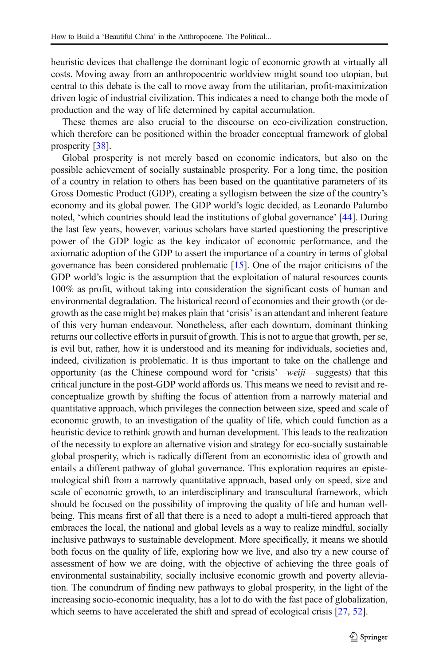heuristic devices that challenge the dominant logic of economic growth at virtually all costs. Moving away from an anthropocentric worldview might sound too utopian, but central to this debate is the call to move away from the utilitarian, profit-maximization driven logic of industrial civilization. This indicates a need to change both the mode of production and the way of life determined by capital accumulation.

These themes are also crucial to the discourse on eco-civilization construction, which therefore can be positioned within the broader conceptual framework of global prosperity [\[38\]](#page-21-0).

Global prosperity is not merely based on economic indicators, but also on the possible achievement of socially sustainable prosperity. For a long time, the position of a country in relation to others has been based on the quantitative parameters of its Gross Domestic Product (GDP), creating a syllogism between the size of the country's economy and its global power. The GDP world's logic decided, as Leonardo Palumbo noted, 'which countries should lead the institutions of global governance' [[44\]](#page-21-0). During the last few years, however, various scholars have started questioning the prescriptive power of the GDP logic as the key indicator of economic performance, and the axiomatic adoption of the GDP to assert the importance of a country in terms of global governance has been considered problematic [\[15](#page-20-0)]. One of the major criticisms of the GDP world's logic is the assumption that the exploitation of natural resources counts 100% as profit, without taking into consideration the significant costs of human and environmental degradation. The historical record of economies and their growth (or degrowth as the case might be) makes plain that 'crisis' is an attendant and inherent feature of this very human endeavour. Nonetheless, after each downturn, dominant thinking returns our collective efforts in pursuit of growth. This is not to argue that growth, per se, is evil but, rather, how it is understood and its meaning for individuals, societies and, indeed, civilization is problematic. It is thus important to take on the challenge and opportunity (as the Chinese compound word for 'crisis' –weiji—suggests) that this critical juncture in the post-GDP world affords us. This means we need to revisit and reconceptualize growth by shifting the focus of attention from a narrowly material and quantitative approach, which privileges the connection between size, speed and scale of economic growth, to an investigation of the quality of life, which could function as a heuristic device to rethink growth and human development. This leads to the realization of the necessity to explore an alternative vision and strategy for eco-socially sustainable global prosperity, which is radically different from an economistic idea of growth and entails a different pathway of global governance. This exploration requires an epistemological shift from a narrowly quantitative approach, based only on speed, size and scale of economic growth, to an interdisciplinary and transcultural framework, which should be focused on the possibility of improving the quality of life and human wellbeing. This means first of all that there is a need to adopt a multi-tiered approach that embraces the local, the national and global levels as a way to realize mindful, socially inclusive pathways to sustainable development. More specifically, it means we should both focus on the quality of life, exploring how we live, and also try a new course of assessment of how we are doing, with the objective of achieving the three goals of environmental sustainability, socially inclusive economic growth and poverty alleviation. The conundrum of finding new pathways to global prosperity, in the light of the increasing socio-economic inequality, has a lot to do with the fast pace of globalization, which seems to have accelerated the shift and spread of ecological crisis [\[27](#page-21-0), [52\]](#page-22-0).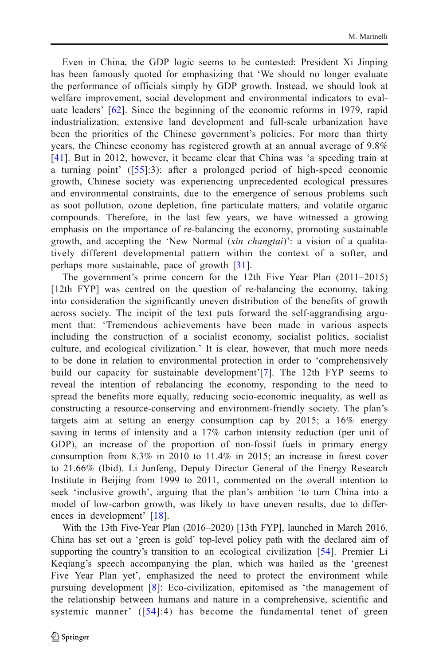Even in China, the GDP logic seems to be contested: President Xi Jinping has been famously quoted for emphasizing that 'We should no longer evaluate the performance of officials simply by GDP growth. Instead, we should look at welfare improvement, social development and environmental indicators to evaluate leaders' [[62\]](#page-22-0). Since the beginning of the economic reforms in 1979, rapid industrialization, extensive land development and full-scale urbanization have been the priorities of the Chinese government's policies. For more than thirty years, the Chinese economy has registered growth at an annual average of 9.8% [\[41\]](#page-21-0). But in 2012, however, it became clear that China was 'a speeding train at a turning point' ([\[55\]](#page-22-0):3): after a prolonged period of high-speed economic growth, Chinese society was experiencing unprecedented ecological pressures and environmental constraints, due to the emergence of serious problems such as soot pollution, ozone depletion, fine particulate matters, and volatile organic compounds. Therefore, in the last few years, we have witnessed a growing emphasis on the importance of re-balancing the economy, promoting sustainable growth, and accepting the 'New Normal (xin changtai)': a vision of a qualitatively different developmental pattern within the context of a softer, and perhaps more sustainable, pace of growth [[31\]](#page-21-0).

The government's prime concern for the 12th Five Year Plan (2011–2015) [12th FYP] was centred on the question of re-balancing the economy, taking into consideration the significantly uneven distribution of the benefits of growth across society. The incipit of the text puts forward the self-aggrandising argument that: 'Tremendous achievements have been made in various aspects including the construction of a socialist economy, socialist politics, socialist culture, and ecological civilization.' It is clear, however, that much more needs to be done in relation to environmental protection in order to 'comprehensively build our capacity for sustainable development'[[7\]](#page-20-0). The 12th FYP seems to reveal the intention of rebalancing the economy, responding to the need to spread the benefits more equally, reducing socio-economic inequality, as well as constructing a resource-conserving and environment-friendly society. The plan's targets aim at setting an energy consumption cap by 2015; a 16% energy saving in terms of intensity and a 17% carbon intensity reduction (per unit of GDP), an increase of the proportion of non-fossil fuels in primary energy consumption from 8.3% in 2010 to 11.4% in 2015; an increase in forest cover to 21.66% (Ibid). Li Junfeng, Deputy Director General of the Energy Research Institute in Beijing from 1999 to 2011, commented on the overall intention to seek 'inclusive growth', arguing that the plan's ambition 'to turn China into a model of low-carbon growth, was likely to have uneven results, due to differences in development' [[18\]](#page-20-0).

With the 13th Five-Year Plan (2016–2020) [13th FYP], launched in March 2016, China has set out a 'green is gold' top-level policy path with the declared aim of supporting the country's transition to an ecological civilization [[54](#page-22-0)]. Premier Li Keqiang's speech accompanying the plan, which was hailed as the 'greenest Five Year Plan yet', emphasized the need to protect the environment while pursuing development [[8](#page-20-0)]: Eco-civilization, epitomised as 'the management of the relationship between humans and nature in a comprehensive, scientific and systemic manner'  $(54)$ :4) has become the fundamental tenet of green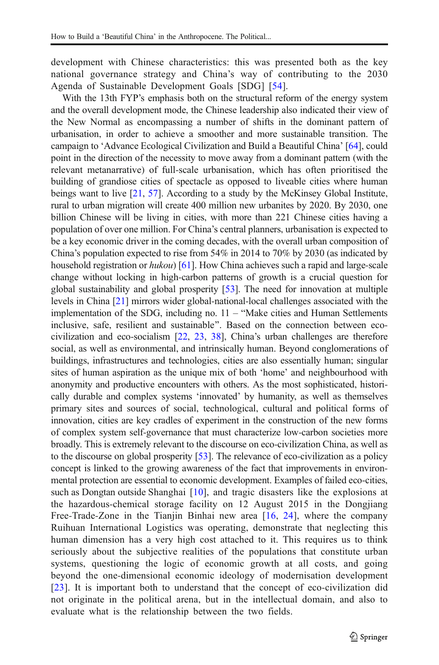development with Chinese characteristics: this was presented both as the key national governance strategy and China's way of contributing to the 2030 Agenda of Sustainable Development Goals [SDG] [[54\]](#page-22-0).

With the 13th FYP's emphasis both on the structural reform of the energy system and the overall development mode, the Chinese leadership also indicated their view of the New Normal as encompassing a number of shifts in the dominant pattern of urbanisation, in order to achieve a smoother and more sustainable transition. The campaign to 'Advance Ecological Civilization and Build a Beautiful China' [\[64\]](#page-22-0), could point in the direction of the necessity to move away from a dominant pattern (with the relevant metanarrative) of full-scale urbanisation, which has often prioritised the building of grandiose cities of spectacle as opposed to liveable cities where human beings want to live [\[21,](#page-20-0) [57](#page-22-0)]. According to a study by the McKinsey Global Institute, rural to urban migration will create 400 million new urbanites by 2020. By 2030, one billion Chinese will be living in cities, with more than 221 Chinese cities having a population of over one million. For China's central planners, urbanisation is expected to be a key economic driver in the coming decades, with the overall urban composition of China's population expected to rise from 54% in 2014 to 70% by 2030 (as indicated by household registration or *hukou*) [[61\]](#page-22-0). How China achieves such a rapid and large-scale change without locking in high-carbon patterns of growth is a crucial question for global sustainability and global prosperity [[53](#page-22-0)]. The need for innovation at multiple levels in China [[21\]](#page-20-0) mirrors wider global-national-local challenges associated with the implementation of the SDG, including no.  $11 -$  "Make cities and Human Settlements inclusive, safe, resilient and sustainable^. Based on the connection between ecocivilization and eco-socialism [\[22,](#page-20-0) [23,](#page-20-0) [38](#page-21-0)], China's urban challenges are therefore social, as well as environmental, and intrinsically human. Beyond conglomerations of buildings, infrastructures and technologies, cities are also essentially human; singular sites of human aspiration as the unique mix of both 'home' and neighbourhood with anonymity and productive encounters with others. As the most sophisticated, historically durable and complex systems 'innovated' by humanity, as well as themselves primary sites and sources of social, technological, cultural and political forms of innovation, cities are key cradles of experiment in the construction of the new forms of complex system self-governance that must characterize low-carbon societies more broadly. This is extremely relevant to the discourse on eco-civilization China, as well as to the discourse on global prosperity [[53](#page-22-0)]. The relevance of eco-civilization as a policy concept is linked to the growing awareness of the fact that improvements in environmental protection are essential to economic development. Examples of failed eco-cities, such as Dongtan outside Shanghai [\[10\]](#page-20-0), and tragic disasters like the explosions at the hazardous-chemical storage facility on 12 August 2015 in the Dongjiang Free-Trade-Zone in the Tianjin Binhai new area  $[16, 24]$  $[16, 24]$  $[16, 24]$ , where the company Ruihuan International Logistics was operating, demonstrate that neglecting this human dimension has a very high cost attached to it. This requires us to think seriously about the subjective realities of the populations that constitute urban systems, questioning the logic of economic growth at all costs, and going beyond the one-dimensional economic ideology of modernisation development [\[23\]](#page-20-0). It is important both to understand that the concept of eco-civilization did not originate in the political arena, but in the intellectual domain, and also to evaluate what is the relationship between the two fields.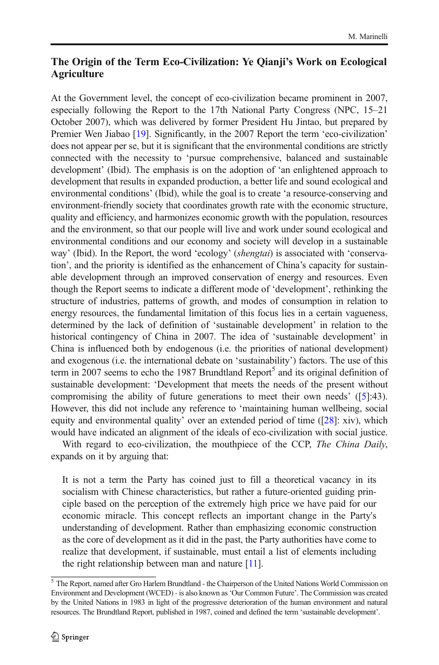# The Origin of the Term Eco-Civilization: Ye Qianji's Work on Ecological **Agriculture**

At the Government level, the concept of eco-civilization became prominent in 2007, especially following the Report to the 17th National Party Congress (NPC, 15–21 October 2007), which was delivered by former President Hu Jintao, but prepared by Premier Wen Jiabao [\[19\]](#page-20-0). Significantly, in the 2007 Report the term 'eco-civilization' does not appear per se, but it is significant that the environmental conditions are strictly connected with the necessity to 'pursue comprehensive, balanced and sustainable development' (Ibid). The emphasis is on the adoption of 'an enlightened approach to development that results in expanded production, a better life and sound ecological and environmental conditions' (Ibid), while the goal is to create 'a resource-conserving and environment-friendly society that coordinates growth rate with the economic structure, quality and efficiency, and harmonizes economic growth with the population, resources and the environment, so that our people will live and work under sound ecological and environmental conditions and our economy and society will develop in a sustainable way' (Ibid). In the Report, the word 'ecology' (shengtai) is associated with 'conservation', and the priority is identified as the enhancement of China's capacity for sustainable development through an improved conservation of energy and resources. Even though the Report seems to indicate a different mode of 'development', rethinking the structure of industries, patterns of growth, and modes of consumption in relation to energy resources, the fundamental limitation of this focus lies in a certain vagueness, determined by the lack of definition of 'sustainable development' in relation to the historical contingency of China in 2007. The idea of 'sustainable development' in China is influenced both by endogenous (i.e. the priorities of national development) and exogenous (i.e. the international debate on 'sustainability') factors. The use of this term in 2007 seems to echo the 1987 Brundtland Report<sup>5</sup> and its original definition of sustainable development: 'Development that meets the needs of the present without compromising the ability of future generations to meet their own needs' ([\[5](#page-20-0)]:43). However, this did not include any reference to 'maintaining human wellbeing, social equity and environmental quality' over an extended period of time ([[28](#page-21-0)]: xiv), which would have indicated an alignment of the ideals of eco-civilization with social justice.

With regard to eco-civilization, the mouthpiece of the CCP, The China Daily, expands on it by arguing that:

It is not a term the Party has coined just to fill a theoretical vacancy in its socialism with Chinese characteristics, but rather a future-oriented guiding principle based on the perception of the extremely high price we have paid for our economic miracle. This concept reflects an important change in the Party's understanding of development. Rather than emphasizing economic construction as the core of development as it did in the past, the Party authorities have come to realize that development, if sustainable, must entail a list of elements including the right relationship between man and nature  $[11]$  $[11]$  $[11]$ .

 $5$  The Report, named after Gro Harlem Brundtland - the Chairperson of the United Nations World Commission on Environment and Development (WCED) - is also known as'Our Common Future'. The Commission was created by the United Nations in 1983 in light of the progressive deterioration of the human environment and natural resources. The Brundtland Report, published in 1987, coined and defined the term 'sustainable development'.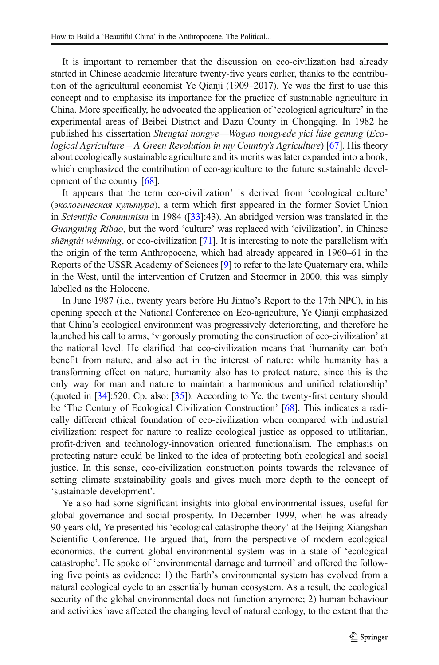It is important to remember that the discussion on eco-civilization had already started in Chinese academic literature twenty-five years earlier, thanks to the contribution of the agricultural economist Ye Qianji (1909–2017). Ye was the first to use this concept and to emphasise its importance for the practice of sustainable agriculture in China. More specifically, he advocated the application of 'ecological agriculture' in the experimental areas of Beibei District and Dazu County in Chongqing. In 1982 he published his dissertation Shengtai nongye—Woguo nongyede yici lüse geming (Eco-logical Agriculture – A Green Revolution in my Country's Agriculture) [[67\]](#page-22-0). His theory about ecologically sustainable agriculture and its merits was later expanded into a book, which emphasized the contribution of eco-agriculture to the future sustainable development of the country [[68](#page-22-0)].

It appears that the term eco-civilization' is derived from 'ecological culture' (экологическая культура), a term which first appeared in the former Soviet Union in Scientific Communism in 1984 ([\[33\]](#page-21-0):43). An abridged version was translated in the Guangming Ribao, but the word 'culture' was replaced with 'civilization', in Chinese shēngtài wénming, or eco-civilization  $[71]$ . It is interesting to note the parallelism with the origin of the term Anthropocene, which had already appeared in 1960–61 in the Reports of the USSR Academy of Sciences [\[9\]](#page-20-0) to refer to the late Quaternary era, while in the West, until the intervention of Crutzen and Stoermer in 2000, this was simply labelled as the Holocene.

In June 1987 (i.e., twenty years before Hu Jintao's Report to the 17th NPC), in his opening speech at the National Conference on Eco-agriculture, Ye Qianji emphasized that China's ecological environment was progressively deteriorating, and therefore he launched his call to arms, 'vigorously promoting the construction of eco-civilization' at the national level. He clarified that eco-civilization means that 'humanity can both benefit from nature, and also act in the interest of nature: while humanity has a transforming effect on nature, humanity also has to protect nature, since this is the only way for man and nature to maintain a harmonious and unified relationship' (quoted in [[34](#page-21-0)]:520; Cp. also: [\[35\]](#page-21-0)). According to Ye, the twenty-first century should be 'The Century of Ecological Civilization Construction' [\[68\]](#page-22-0). This indicates a radically different ethical foundation of eco-civilization when compared with industrial civilization: respect for nature to realize ecological justice as opposed to utilitarian, profit-driven and technology-innovation oriented functionalism. The emphasis on protecting nature could be linked to the idea of protecting both ecological and social justice. In this sense, eco-civilization construction points towards the relevance of setting climate sustainability goals and gives much more depth to the concept of 'sustainable development'.

Ye also had some significant insights into global environmental issues, useful for global governance and social prosperity. In December 1999, when he was already 90 years old, Ye presented his 'ecological catastrophe theory' at the Beijing Xiangshan Scientific Conference. He argued that, from the perspective of modern ecological economics, the current global environmental system was in a state of 'ecological catastrophe'. He spoke of 'environmental damage and turmoil' and offered the following five points as evidence: 1) the Earth's environmental system has evolved from a natural ecological cycle to an essentially human ecosystem. As a result, the ecological security of the global environmental does not function anymore; 2) human behaviour and activities have affected the changing level of natural ecology, to the extent that the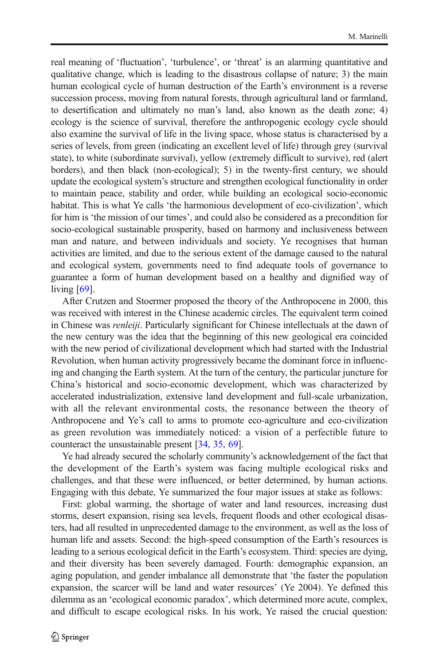real meaning of 'fluctuation', 'turbulence', or 'threat' is an alarming quantitative and qualitative change, which is leading to the disastrous collapse of nature; 3) the main human ecological cycle of human destruction of the Earth's environment is a reverse succession process, moving from natural forests, through agricultural land or farmland, to desertification and ultimately no man's land, also known as the death zone; 4) ecology is the science of survival, therefore the anthropogenic ecology cycle should also examine the survival of life in the living space, whose status is characterised by a series of levels, from green (indicating an excellent level of life) through grey (survival state), to white (subordinate survival), yellow (extremely difficult to survive), red (alert borders), and then black (non-ecological); 5) in the twenty-first century, we should update the ecological system's structure and strengthen ecological functionality in order to maintain peace, stability and order, while building an ecological socio-economic habitat. This is what Ye calls 'the harmonious development of eco-civilization', which for him is 'the mission of our times', and could also be considered as a precondition for socio-ecological sustainable prosperity, based on harmony and inclusiveness between man and nature, and between individuals and society. Ye recognises that human activities are limited, and due to the serious extent of the damage caused to the natural and ecological system, governments need to find adequate tools of governance to guarantee a form of human development based on a healthy and dignified way of living  $[69]$  $[69]$  $[69]$ .

After Crutzen and Stoermer proposed the theory of the Anthropocene in 2000, this was received with interest in the Chinese academic circles. The equivalent term coined in Chinese was renleiji. Particularly significant for Chinese intellectuals at the dawn of the new century was the idea that the beginning of this new geological era coincided with the new period of civilizational development which had started with the Industrial Revolution, when human activity progressively became the dominant force in influencing and changing the Earth system. At the turn of the century, the particular juncture for China's historical and socio-economic development, which was characterized by accelerated industrialization, extensive land development and full-scale urbanization, with all the relevant environmental costs, the resonance between the theory of Anthropocene and Ye's call to arms to promote eco-agriculture and eco-civilization as green revolution was immediately noticed: a vision of a perfectible future to counteract the unsustainable present [\[34](#page-21-0), [35](#page-21-0), [69](#page-22-0)].

Ye had already secured the scholarly community's acknowledgement of the fact that the development of the Earth's system was facing multiple ecological risks and challenges, and that these were influenced, or better determined, by human actions. Engaging with this debate, Ye summarized the four major issues at stake as follows:

First: global warming, the shortage of water and land resources, increasing dust storms, desert expansion, rising sea levels, frequent floods and other ecological disasters, had all resulted in unprecedented damage to the environment, as well as the loss of human life and assets. Second: the high-speed consumption of the Earth's resources is leading to a serious ecological deficit in the Earth's ecosystem. Third: species are dying, and their diversity has been severely damaged. Fourth: demographic expansion, an aging population, and gender imbalance all demonstrate that 'the faster the population expansion, the scarcer will be land and water resources' (Ye 2004). Ye defined this dilemma as an 'ecological economic paradox', which determined more acute, complex, and difficult to escape ecological risks. In his work, Ye raised the crucial question: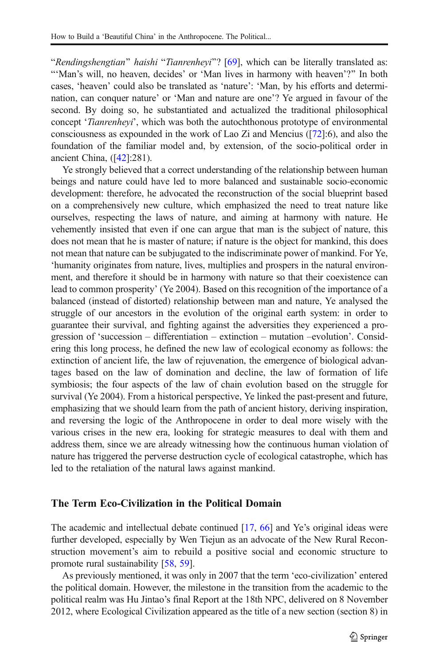"Rendingshengtian" haishi "Tianrenheyi"?  $[69]$  $[69]$  $[69]$ , which can be literally translated as: "'Man's will, no heaven, decides' or 'Man lives in harmony with heaven'?" In both cases, 'heaven' could also be translated as 'nature': 'Man, by his efforts and determination, can conquer nature' or 'Man and nature are one'? Ye argued in favour of the second. By doing so, he substantiated and actualized the traditional philosophical concept 'Tianrenheyi', which was both the autochthonous prototype of environmental consciousness as expounded in the work of Lao Zi and Mencius ([\[72](#page-22-0)]:6), and also the foundation of the familiar model and, by extension, of the socio-political order in ancient China, ([[42](#page-21-0)]:281).

Ye strongly believed that a correct understanding of the relationship between human beings and nature could have led to more balanced and sustainable socio-economic development: therefore, he advocated the reconstruction of the social blueprint based on a comprehensively new culture, which emphasized the need to treat nature like ourselves, respecting the laws of nature, and aiming at harmony with nature. He vehemently insisted that even if one can argue that man is the subject of nature, this does not mean that he is master of nature; if nature is the object for mankind, this does not mean that nature can be subjugated to the indiscriminate power of mankind. For Ye, 'humanity originates from nature, lives, multiplies and prospers in the natural environment, and therefore it should be in harmony with nature so that their coexistence can lead to common prosperity' (Ye 2004). Based on this recognition of the importance of a balanced (instead of distorted) relationship between man and nature, Ye analysed the struggle of our ancestors in the evolution of the original earth system: in order to guarantee their survival, and fighting against the adversities they experienced a progression of 'succession – differentiation – extinction – mutation –evolution'. Considering this long process, he defined the new law of ecological economy as follows: the extinction of ancient life, the law of rejuvenation, the emergence of biological advantages based on the law of domination and decline, the law of formation of life symbiosis; the four aspects of the law of chain evolution based on the struggle for survival (Ye 2004). From a historical perspective, Ye linked the past-present and future, emphasizing that we should learn from the path of ancient history, deriving inspiration, and reversing the logic of the Anthropocene in order to deal more wisely with the various crises in the new era, looking for strategic measures to deal with them and address them, since we are already witnessing how the continuous human violation of nature has triggered the perverse destruction cycle of ecological catastrophe, which has led to the retaliation of the natural laws against mankind.

#### The Term Eco-Civilization in the Political Domain

The academic and intellectual debate continued [[17,](#page-20-0) [66\]](#page-22-0) and Ye's original ideas were further developed, especially by Wen Tiejun as an advocate of the New Rural Reconstruction movement's aim to rebuild a positive social and economic structure to promote rural sustainability [[58](#page-22-0), [59\]](#page-22-0).

As previously mentioned, it was only in 2007 that the term 'eco-civilization' entered the political domain. However, the milestone in the transition from the academic to the political realm was Hu Jintao's final Report at the 18th NPC, delivered on 8 November 2012, where Ecological Civilization appeared as the title of a new section (section 8) in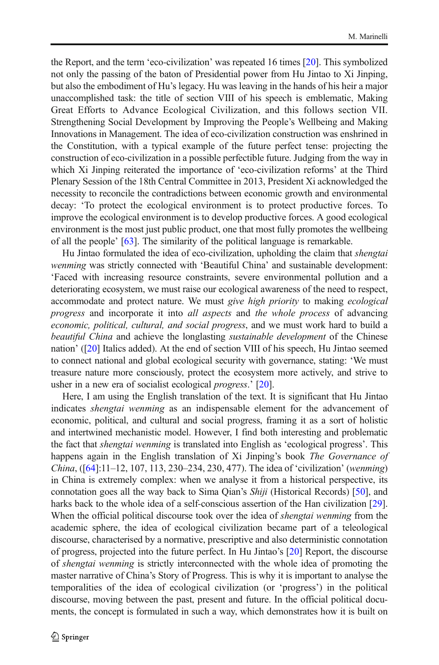the Report, and the term 'eco-civilization' was repeated 16 times [\[20](#page-20-0)]. This symbolized not only the passing of the baton of Presidential power from Hu Jintao to Xi Jinping, but also the embodiment of Hu's legacy. Hu was leaving in the hands of his heir a major unaccomplished task: the title of section VIII of his speech is emblematic, Making Great Efforts to Advance Ecological Civilization, and this follows section VII. Strengthening Social Development by Improving the People's Wellbeing and Making Innovations in Management. The idea of eco-civilization construction was enshrined in the Constitution, with a typical example of the future perfect tense: projecting the construction of eco-civilization in a possible perfectible future. Judging from the way in which Xi Jinping reiterated the importance of 'eco-civilization reforms' at the Third Plenary Session of the 18th Central Committee in 2013, President Xi acknowledged the necessity to reconcile the contradictions between economic growth and environmental decay: 'To protect the ecological environment is to protect productive forces. To improve the ecological environment is to develop productive forces. A good ecological environment is the most just public product, one that most fully promotes the wellbeing of all the people' [\[63](#page-22-0)]. The similarity of the political language is remarkable.

Hu Jintao formulated the idea of eco-civilization, upholding the claim that *shengtai* wenming was strictly connected with 'Beautiful China' and sustainable development: 'Faced with increasing resource constraints, severe environmental pollution and a deteriorating ecosystem, we must raise our ecological awareness of the need to respect, accommodate and protect nature. We must give high priority to making ecological progress and incorporate it into all aspects and the whole process of advancing economic, political, cultural, and social progress, and we must work hard to build a beautiful China and achieve the longlasting *sustainable development* of the Chinese nation' ([\[20\]](#page-20-0) Italics added). At the end of section VIII of his speech, Hu Jintao seemed to connect national and global ecological security with governance, stating: 'We must treasure nature more consciously, protect the ecosystem more actively, and strive to usher in a new era of socialist ecological *progress*.' [\[20](#page-20-0)].

Here, I am using the English translation of the text. It is significant that Hu Jintao indicates shengtai wenming as an indispensable element for the advancement of economic, political, and cultural and social progress, framing it as a sort of holistic and intertwined mechanistic model. However, I find both interesting and problematic the fact that shengtai wenming is translated into English as 'ecological progress'. This happens again in the English translation of Xi Jinping's book The Governance of China, ([[64\]](#page-22-0):11–12, 107, 113, 230–234, 230, 477). The idea of 'civilization' (wenming) in China is extremely complex: when we analyse it from a historical perspective, its connotation goes all the way back to Sima Qian's Shiji (Historical Records) [[50\]](#page-21-0), and harks back to the whole idea of a self-conscious assertion of the Han civilization [\[29\]](#page-21-0). When the official political discourse took over the idea of *shengtai wenming* from the academic sphere, the idea of ecological civilization became part of a teleological discourse, characterised by a normative, prescriptive and also deterministic connotation of progress, projected into the future perfect. In Hu Jintao's [[20\]](#page-20-0) Report, the discourse of shengtai wenming is strictly interconnected with the whole idea of promoting the master narrative of China's Story of Progress. This is why it is important to analyse the temporalities of the idea of ecological civilization (or 'progress') in the political discourse, moving between the past, present and future. In the official political documents, the concept is formulated in such a way, which demonstrates how it is built on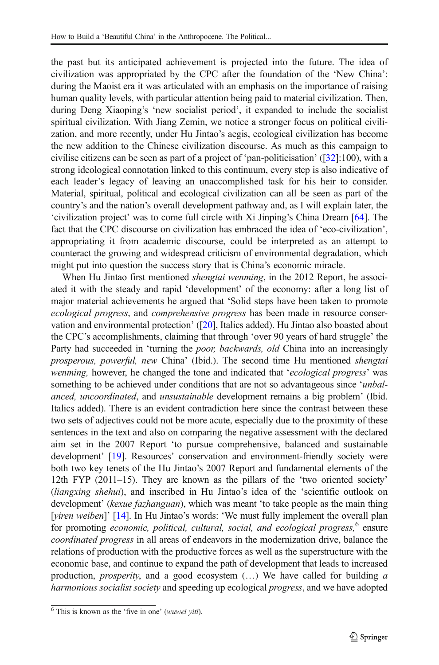the past but its anticipated achievement is projected into the future. The idea of civilization was appropriated by the CPC after the foundation of the 'New China': during the Maoist era it was articulated with an emphasis on the importance of raising human quality levels, with particular attention being paid to material civilization. Then, during Deng Xiaoping's 'new socialist period', it expanded to include the socialist spiritual civilization. With Jiang Zemin, we notice a stronger focus on political civilization, and more recently, under Hu Jintao's aegis, ecological civilization has become the new addition to the Chinese civilization discourse. As much as this campaign to civilise citizens can be seen as part of a project of 'pan-politicisation' ([\[32](#page-21-0)]:100), with a strong ideological connotation linked to this continuum, every step is also indicative of each leader's legacy of leaving an unaccomplished task for his heir to consider. Material, spiritual, political and ecological civilization can all be seen as part of the country's and the nation's overall development pathway and, as I will explain later, the 'civilization project' was to come full circle with Xi Jinping's China Dream [[64\]](#page-22-0). The fact that the CPC discourse on civilization has embraced the idea of 'eco-civilization', appropriating it from academic discourse, could be interpreted as an attempt to counteract the growing and widespread criticism of environmental degradation, which might put into question the success story that is China's economic miracle.

When Hu Jintao first mentioned *shengtai wenming*, in the 2012 Report, he associated it with the steady and rapid 'development' of the economy: after a long list of major material achievements he argued that 'Solid steps have been taken to promote ecological progress, and comprehensive progress has been made in resource conservation and environmental protection' ([\[20\]](#page-20-0), Italics added). Hu Jintao also boasted about the CPC's accomplishments, claiming that through 'over 90 years of hard struggle' the Party had succeeded in 'turning the *poor*, *backwards*, *old* China into an increasingly prosperous, powerful, new China' (Ibid.). The second time Hu mentioned shengtai wenming, however, he changed the tone and indicated that 'ecological progress' was something to be achieved under conditions that are not so advantageous since 'unbalanced, uncoordinated, and unsustainable development remains a big problem' (Ibid. Italics added). There is an evident contradiction here since the contrast between these two sets of adjectives could not be more acute, especially due to the proximity of these sentences in the text and also on comparing the negative assessment with the declared aim set in the 2007 Report 'to pursue comprehensive, balanced and sustainable development' [[19\]](#page-20-0). Resources' conservation and environment-friendly society were both two key tenets of the Hu Jintao's 2007 Report and fundamental elements of the 12th FYP (2011–15). They are known as the pillars of the 'two oriented society' (liangxing shehui), and inscribed in Hu Jintao's idea of the 'scientific outlook on development' (kexue fazhanguan), which was meant 'to take people as the main thing [yiren weiben]' [\[14](#page-20-0)]. In Hu Jintao's words: 'We must fully implement the overall plan for promoting economic, political, cultural, social, and ecological progress,<sup>6</sup> ensure coordinated progress in all areas of endeavors in the modernization drive, balance the relations of production with the productive forces as well as the superstructure with the economic base, and continue to expand the path of development that leads to increased production, *prosperity*, and a good ecosystem (...) We have called for building a harmonious socialist society and speeding up ecological *progress*, and we have adopted

 $6$  This is known as the 'five in one' (wuwei yiti).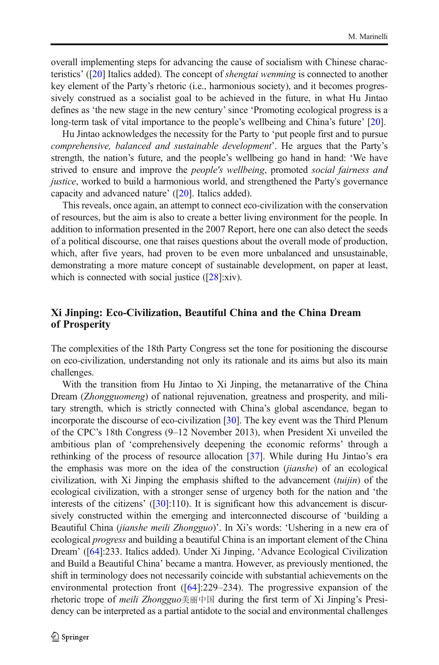overall implementing steps for advancing the cause of socialism with Chinese characteristics' ([\[20](#page-20-0)] Italics added). The concept of shengtai wenming is connected to another key element of the Party's rhetoric (i.e., harmonious society), and it becomes progressively construed as a socialist goal to be achieved in the future, in what Hu Jintao defines as 'the new stage in the new century' since 'Promoting ecological progress is a long-term task of vital importance to the people's wellbeing and China's future' [\[20\]](#page-20-0).

Hu Jintao acknowledges the necessity for the Party to 'put people first and to pursue comprehensive, balanced and sustainable development'. He argues that the Party's strength, the nation's future, and the people's wellbeing go hand in hand: 'We have strived to ensure and improve the *people's wellbeing*, promoted *social fairness and* justice, worked to build a harmonious world, and strengthened the Party's governance capacity and advanced nature' ([\[20\]](#page-20-0). Italics added).

This reveals, once again, an attempt to connect eco-civilization with the conservation of resources, but the aim is also to create a better living environment for the people. In addition to information presented in the 2007 Report, here one can also detect the seeds of a political discourse, one that raises questions about the overall mode of production, which, after five years, had proven to be even more unbalanced and unsustainable, demonstrating a more mature concept of sustainable development, on paper at least, which is connected with social justice  $(28)!$ :xiv).

# Xi Jinping: Eco-Civilization, Beautiful China and the China Dream of Prosperity

The complexities of the 18th Party Congress set the tone for positioning the discourse on eco-civilization, understanding not only its rationale and its aims but also its main challenges.

With the transition from Hu Jintao to Xi Jinping, the metanarrative of the China Dream (*Zhongguomeng*) of national rejuvenation, greatness and prosperity, and military strength, which is strictly connected with China's global ascendance, began to incorporate the discourse of eco-civilization [[30\]](#page-21-0). The key event was the Third Plenum of the CPC's 18th Congress (9–12 November 2013), when President Xi unveiled the ambitious plan of 'comprehensively deepening the economic reforms' through a rethinking of the process of resource allocation [\[37\]](#page-21-0). While during Hu Jintao's era the emphasis was more on the idea of the construction (jianshe) of an ecological civilization, with Xi Jinping the emphasis shifted to the advancement  $(tuijin)$  of the ecological civilization, with a stronger sense of urgency both for the nation and 'the interests of the citizens'  $(30)$ :110). It is significant how this advancement is discursively constructed within the emerging and interconnected discourse of 'building a Beautiful China (jianshe meili Zhongguo)'. In Xi's words: 'Ushering in a new era of ecological *progress* and building a beautiful China is an important element of the China Dream' ([[64\]](#page-22-0):233. Italics added). Under Xi Jinping, 'Advance Ecological Civilization and Build a Beautiful China' became a mantra. However, as previously mentioned, the shift in terminology does not necessarily coincide with substantial achievements on the environmental protection front  $(64)$ :229–234). The progressive expansion of the rhetoric trope of *meili Zhongguo*美丽中国 during the first term of Xi Jinping's Presidency can be interpreted as a partial antidote to the social and environmental challenges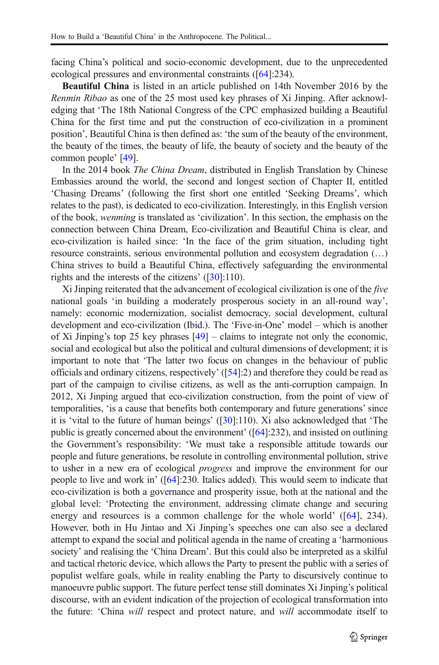facing China's political and socio-economic development, due to the unprecedented ecological pressures and environmental constraints ([\[64\]](#page-22-0):234).

Beautiful China is listed in an article published on 14th November 2016 by the Renmin Ribao as one of the 25 most used key phrases of Xi Jinping. After acknowledging that 'The 18th National Congress of the CPC emphasized building a Beautiful China for the first time and put the construction of eco-civilization in a prominent position', Beautiful China is then defined as: 'the sum of the beauty of the environment, the beauty of the times, the beauty of life, the beauty of society and the beauty of the common people' [\[49\]](#page-21-0).

In the 2014 book The China Dream, distributed in English Translation by Chinese Embassies around the world, the second and longest section of Chapter II, entitled 'Chasing Dreams' (following the first short one entitled 'Seeking Dreams', which relates to the past), is dedicated to eco-civilization. Interestingly, in this English version of the book, wenming is translated as 'civilization'. In this section, the emphasis on the connection between China Dream, Eco-civilization and Beautiful China is clear, and eco-civilization is hailed since: 'In the face of the grim situation, including tight resource constraints, serious environmental pollution and ecosystem degradation (…) China strives to build a Beautiful China, effectively safeguarding the environmental rights and the interests of the citizens' ([\[30\]](#page-21-0):110).

Xi Jinping reiterated that the advancement of ecological civilization is one of the five national goals 'in building a moderately prosperous society in an all-round way', namely: economic modernization, socialist democracy, social development, cultural development and eco-civilization (Ibid.). The 'Five-in-One' model – which is another of Xi Jinping's top 25 key phrases  $[49]$  $[49]$  $[49]$  – claims to integrate not only the economic, social and ecological but also the political and cultural dimensions of development; it is important to note that 'The latter two focus on changes in the behaviour of public officials and ordinary citizens, respectively' ([\[54\]](#page-22-0):2) and therefore they could be read as part of the campaign to civilise citizens, as well as the anti-corruption campaign. In 2012, Xi Jinping argued that eco-civilization construction, from the point of view of temporalities, 'is a cause that benefits both contemporary and future generations' since it is 'vital to the future of human beings' ([\[30\]](#page-21-0):110). Xi also acknowledged that 'The public is greatly concerned about the environment' ([\[64](#page-22-0)]:232), and insisted on outlining the Government's responsibility: 'We must take a responsible attitude towards our people and future generations, be resolute in controlling environmental pollution, strive to usher in a new era of ecological progress and improve the environment for our people to live and work in' ([\[64\]](#page-22-0):230. Italics added). This would seem to indicate that eco-civilization is both a governance and prosperity issue, both at the national and the global level: 'Protecting the environment, addressing climate change and securing energy and resources is a common challenge for the whole world'  $([64], 234)$  $([64], 234)$  $([64], 234)$ . However, both in Hu Jintao and Xi Jinping's speeches one can also see a declared attempt to expand the social and political agenda in the name of creating a 'harmonious society' and realising the 'China Dream'. But this could also be interpreted as a skilful and tactical rhetoric device, which allows the Party to present the public with a series of populist welfare goals, while in reality enabling the Party to discursively continue to manoeuvre public support. The future perfect tense still dominates Xi Jinping's political discourse, with an evident indication of the projection of ecological transformation into the future: 'China will respect and protect nature, and will accommodate itself to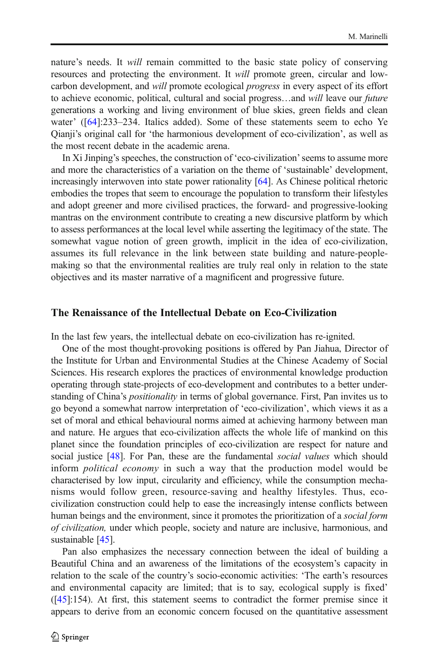nature's needs. It will remain committed to the basic state policy of conserving resources and protecting the environment. It will promote green, circular and lowcarbon development, and *will* promote ecological *progress* in every aspect of its effort to achieve economic, political, cultural and social progress...and will leave our *future* generations a working and living environment of blue skies, green fields and clean water' ([\[64](#page-22-0)]:233–234. Italics added). Some of these statements seem to echo Ye Qianji's original call for 'the harmonious development of eco-civilization', as well as the most recent debate in the academic arena.

In Xi Jinping's speeches, the construction of 'eco-civilization'seems to assume more and more the characteristics of a variation on the theme of 'sustainable' development, increasingly interwoven into state power rationality [\[64](#page-22-0)]. As Chinese political rhetoric embodies the tropes that seem to encourage the population to transform their lifestyles and adopt greener and more civilised practices, the forward- and progressive-looking mantras on the environment contribute to creating a new discursive platform by which to assess performances at the local level while asserting the legitimacy of the state. The somewhat vague notion of green growth, implicit in the idea of eco-civilization, assumes its full relevance in the link between state building and nature-peoplemaking so that the environmental realities are truly real only in relation to the state objectives and its master narrative of a magnificent and progressive future.

#### The Renaissance of the Intellectual Debate on Eco-Civilization

In the last few years, the intellectual debate on eco-civilization has re-ignited.

One of the most thought-provoking positions is offered by Pan Jiahua, Director of the Institute for Urban and Environmental Studies at the Chinese Academy of Social Sciences. His research explores the practices of environmental knowledge production operating through state-projects of eco-development and contributes to a better understanding of China's *positionality* in terms of global governance. First, Pan invites us to go beyond a somewhat narrow interpretation of 'eco-civilization', which views it as a set of moral and ethical behavioural norms aimed at achieving harmony between man and nature. He argues that eco-civilization affects the whole life of mankind on this planet since the foundation principles of eco-civilization are respect for nature and social justice [\[48](#page-21-0)]. For Pan, these are the fundamental *social values* which should inform political economy in such a way that the production model would be characterised by low input, circularity and efficiency, while the consumption mechanisms would follow green, resource-saving and healthy lifestyles. Thus, ecocivilization construction could help to ease the increasingly intense conflicts between human beings and the environment, since it promotes the prioritization of a *social form* of civilization, under which people, society and nature are inclusive, harmonious, and sustainable [[45\]](#page-21-0).

Pan also emphasizes the necessary connection between the ideal of building a Beautiful China and an awareness of the limitations of the ecosystem's capacity in relation to the scale of the country's socio-economic activities: 'The earth's resources and environmental capacity are limited; that is to say, ecological supply is fixed' ([\[45](#page-21-0)]:154). At first, this statement seems to contradict the former premise since it appears to derive from an economic concern focused on the quantitative assessment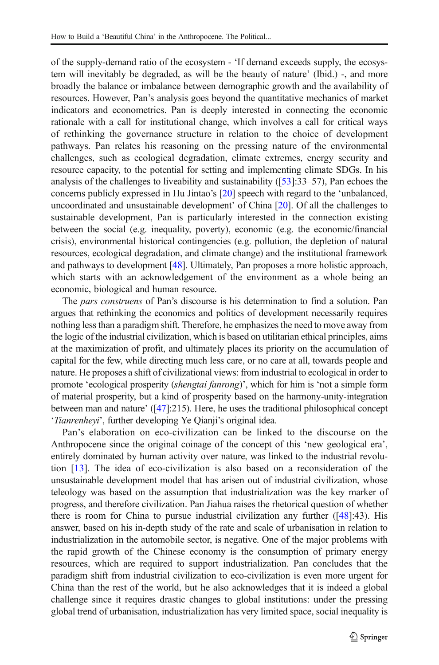of the supply-demand ratio of the ecosystem - 'If demand exceeds supply, the ecosystem will inevitably be degraded, as will be the beauty of nature' (Ibid.) -, and more broadly the balance or imbalance between demographic growth and the availability of resources. However, Pan's analysis goes beyond the quantitative mechanics of market indicators and econometrics. Pan is deeply interested in connecting the economic rationale with a call for institutional change, which involves a call for critical ways of rethinking the governance structure in relation to the choice of development pathways. Pan relates his reasoning on the pressing nature of the environmental challenges, such as ecological degradation, climate extremes, energy security and resource capacity, to the potential for setting and implementing climate SDGs. In his analysis of the challenges to liveability and sustainability  $(53]$ : 33–57), Pan echoes the concerns publicly expressed in Hu Jintao's [[20](#page-20-0)] speech with regard to the 'unbalanced, uncoordinated and unsustainable development' of China [\[20](#page-20-0)]. Of all the challenges to sustainable development, Pan is particularly interested in the connection existing between the social (e.g. inequality, poverty), economic (e.g. the economic/financial crisis), environmental historical contingencies (e.g. pollution, the depletion of natural resources, ecological degradation, and climate change) and the institutional framework and pathways to development [[48](#page-21-0)]. Ultimately, Pan proposes a more holistic approach, which starts with an acknowledgement of the environment as a whole being an economic, biological and human resource.

The pars construens of Pan's discourse is his determination to find a solution. Pan argues that rethinking the economics and politics of development necessarily requires nothing less than a paradigm shift. Therefore, he emphasizes the need to move away from the logic of the industrial civilization, which is based on utilitarian ethical principles, aims at the maximization of profit, and ultimately places its priority on the accumulation of capital for the few, while directing much less care, or no care at all, towards people and nature. He proposes a shift of civilizational views: from industrial to ecological in order to promote 'ecological prosperity (shengtai fanrong)', which for him is 'not a simple form of material prosperity, but a kind of prosperity based on the harmony-unity-integration between man and nature' ([\[47\]](#page-21-0):215). Here, he uses the traditional philosophical concept 'Tianrenheyi', further developing Ye Qianji's original idea.

Pan's elaboration on eco-civilization can be linked to the discourse on the Anthropocene since the original coinage of the concept of this 'new geological era', entirely dominated by human activity over nature, was linked to the industrial revolution [\[13](#page-20-0)]. The idea of eco-civilization is also based on a reconsideration of the unsustainable development model that has arisen out of industrial civilization, whose teleology was based on the assumption that industrialization was the key marker of progress, and therefore civilization. Pan Jiahua raises the rhetorical question of whether there is room for China to pursue industrial civilization any further ([[48](#page-21-0)]:43). His answer, based on his in-depth study of the rate and scale of urbanisation in relation to industrialization in the automobile sector, is negative. One of the major problems with the rapid growth of the Chinese economy is the consumption of primary energy resources, which are required to support industrialization. Pan concludes that the paradigm shift from industrial civilization to eco-civilization is even more urgent for China than the rest of the world, but he also acknowledges that it is indeed a global challenge since it requires drastic changes to global institutions: under the pressing global trend of urbanisation, industrialization has very limited space, social inequality is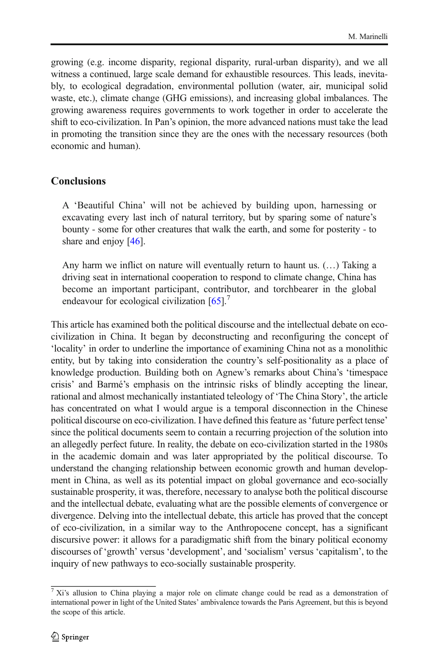growing (e.g. income disparity, regional disparity, rural-urban disparity), and we all witness a continued, large scale demand for exhaustible resources. This leads, inevitably, to ecological degradation, environmental pollution (water, air, municipal solid waste, etc.), climate change (GHG emissions), and increasing global imbalances. The growing awareness requires governments to work together in order to accelerate the shift to eco-civilization. In Pan's opinion, the more advanced nations must take the lead in promoting the transition since they are the ones with the necessary resources (both economic and human).

# **Conclusions**

A 'Beautiful China' will not be achieved by building upon, harnessing or excavating every last inch of natural territory, but by sparing some of nature's bounty - some for other creatures that walk the earth, and some for posterity - to share and enjoy [\[46](#page-21-0)].

Any harm we inflict on nature will eventually return to haunt us. (…) Taking a driving seat in international cooperation to respond to climate change, China has become an important participant, contributor, and torchbearer in the global endeavour for ecological civilization  $[65]$  $[65]$  $[65]$ .

This article has examined both the political discourse and the intellectual debate on ecocivilization in China. It began by deconstructing and reconfiguring the concept of 'locality' in order to underline the importance of examining China not as a monolithic entity, but by taking into consideration the country's self-positionality as a place of knowledge production. Building both on Agnew's remarks about China's 'timespace crisis' and Barmé's emphasis on the intrinsic risks of blindly accepting the linear, rational and almost mechanically instantiated teleology of 'The China Story', the article has concentrated on what I would argue is a temporal disconnection in the Chinese political discourse on eco-civilization. I have defined this feature as'future perfect tense' since the political documents seem to contain a recurring projection of the solution into an allegedly perfect future. In reality, the debate on eco-civilization started in the 1980s in the academic domain and was later appropriated by the political discourse. To understand the changing relationship between economic growth and human development in China, as well as its potential impact on global governance and eco-socially sustainable prosperity, it was, therefore, necessary to analyse both the political discourse and the intellectual debate, evaluating what are the possible elements of convergence or divergence. Delving into the intellectual debate, this article has proved that the concept of eco-civilization, in a similar way to the Anthropocene concept, has a significant discursive power: it allows for a paradigmatic shift from the binary political economy discourses of 'growth' versus 'development', and 'socialism' versus 'capitalism', to the inquiry of new pathways to eco-socially sustainable prosperity.

 $7$  Xi's allusion to China playing a major role on climate change could be read as a demonstration of international power in light of the United States' ambivalence towards the Paris Agreement, but this is beyond the scope of this article.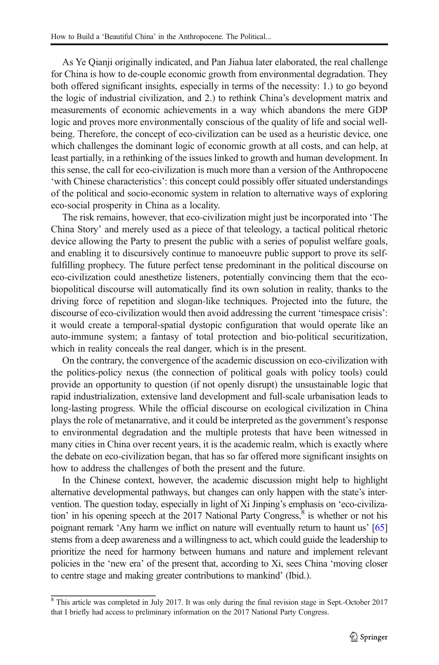As Ye Qianji originally indicated, and Pan Jiahua later elaborated, the real challenge for China is how to de-couple economic growth from environmental degradation. They both offered significant insights, especially in terms of the necessity: 1.) to go beyond the logic of industrial civilization, and 2.) to rethink China's development matrix and measurements of economic achievements in a way which abandons the mere GDP logic and proves more environmentally conscious of the quality of life and social wellbeing. Therefore, the concept of eco-civilization can be used as a heuristic device, one which challenges the dominant logic of economic growth at all costs, and can help, at least partially, in a rethinking of the issues linked to growth and human development. In this sense, the call for eco-civilization is much more than a version of the Anthropocene 'with Chinese characteristics': this concept could possibly offer situated understandings of the political and socio-economic system in relation to alternative ways of exploring eco-social prosperity in China as a locality.

The risk remains, however, that eco-civilization might just be incorporated into 'The China Story' and merely used as a piece of that teleology, a tactical political rhetoric device allowing the Party to present the public with a series of populist welfare goals, and enabling it to discursively continue to manoeuvre public support to prove its selffulfilling prophecy. The future perfect tense predominant in the political discourse on eco-civilization could anesthetize listeners, potentially convincing them that the ecobiopolitical discourse will automatically find its own solution in reality, thanks to the driving force of repetition and slogan-like techniques. Projected into the future, the discourse of eco-civilization would then avoid addressing the current 'timespace crisis': it would create a temporal-spatial dystopic configuration that would operate like an auto-immune system; a fantasy of total protection and bio-political securitization, which in reality conceals the real danger, which is in the present.

On the contrary, the convergence of the academic discussion on eco-civilization with the politics-policy nexus (the connection of political goals with policy tools) could provide an opportunity to question (if not openly disrupt) the unsustainable logic that rapid industrialization, extensive land development and full-scale urbanisation leads to long-lasting progress. While the official discourse on ecological civilization in China plays the role of metanarrative, and it could be interpreted as the government's response to environmental degradation and the multiple protests that have been witnessed in many cities in China over recent years, it is the academic realm, which is exactly where the debate on eco-civilization began, that has so far offered more significant insights on how to address the challenges of both the present and the future.

In the Chinese context, however, the academic discussion might help to highlight alternative developmental pathways, but changes can only happen with the state's intervention. The question today, especially in light of Xi Jinping's emphasis on 'eco-civilization' in his opening speech at the 2017 National Party Congress,<sup>8</sup> is whether or not his poignant remark 'Any harm we inflict on nature will eventually return to haunt us' [[65](#page-22-0)] stems from a deep awareness and a willingness to act, which could guide the leadership to prioritize the need for harmony between humans and nature and implement relevant policies in the 'new era' of the present that, according to Xi, sees China 'moving closer to centre stage and making greater contributions to mankind' (Ibid.).

<sup>&</sup>lt;sup>8</sup> This article was completed in July 2017. It was only during the final revision stage in Sept.-October 2017 that I briefly had access to preliminary information on the 2017 National Party Congress.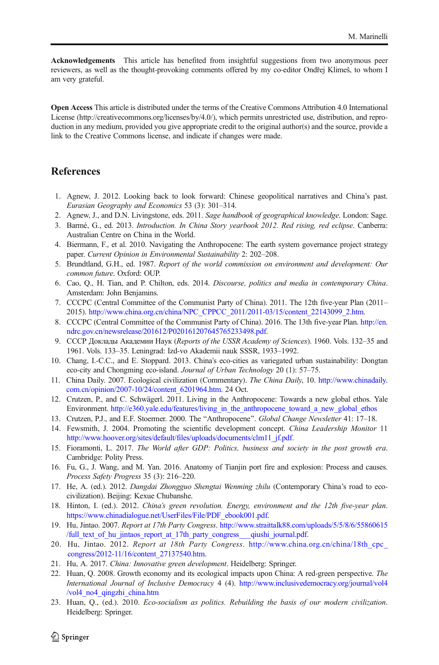<span id="page-20-0"></span>Acknowledgements This article has benefited from insightful suggestions from two anonymous peer reviewers, as well as the thought-provoking comments offered by my co-editor Ondřej Klimeš, to whom I am very grateful.

Open Access This article is distributed under the terms of the Creative Commons Attribution 4.0 International License (http://creativecommons.org/licenses/by/4.0/), which permits unrestricted use, distribution, and reproduction in any medium, provided you give appropriate credit to the original author(s) and the source, provide a link to the Creative Commons license, and indicate if changes were made.

## **References**

- 1. Agnew, J. 2012. Looking back to look forward: Chinese geopolitical narratives and China's past. Eurasian Geography and Economics 53 (3): 301–314.
- 2. Agnew, J., and D.N. Livingstone, eds. 2011. Sage handbook of geographical knowledge. London: Sage.
- 3. Barmé, G., ed. 2013. Introduction. In China Story yearbook 2012. Red rising, red eclipse. Canberra: Australian Centre on China in the World.
- 4. Biermann, F., et al. 2010. Navigating the Anthropocene: The earth system governance project strategy paper. Current Opinion in Environmental Sustainability 2: 202–208.
- 5. Brundtland, G.H., ed. 1987. Report of the world commission on environment and development: Our common future. Oxford: OUP.
- 6. Cao, Q., H. Tian, and P. Chilton, eds. 2014. Discourse, politics and media in contemporary China. Amsterdam: John Benjamins.
- 7. CCCPC (Central Committee of the Communist Party of China). 2011. The 12th five-year Plan (2011– 2015). [http://www.china.org.cn/china/NPC\\_CPPCC\\_2011/2011-03/15/content\\_22143099\\_2.htm](http://www.china.org.cn/china/NPC_CPPCC_2011/2011-03/15/content_22143099_2.htm).
- 8. CCCPC (Central Committee of the Communist Party of China). 2016. The 13th five-year Plan. [http://en.](http://en.ndrc.gov.cn/newsrelease/201612/P020161207645765233498.pdf) [ndrc.gov.cn/newsrelease/201612/P020161207645765233498.pdf](http://en.ndrc.gov.cn/newsrelease/201612/P020161207645765233498.pdf).
- 9. СССР Доклады Академии Наук (Reports of the USSR Academy of Sciences). 1960. Vols. 132–35 and 1961. Vols. 133–35. Leningrad: Izd-vo Akademii nauk SSSR, 1933–1992.
- 10. Chang, I.-C.C., and E. Stoppard. 2013. China's eco-cities as variegated urban sustainability: Dongtan eco-city and Chongming eco-island. Journal of Urban Technology 20 (1): 57–75.
- 11. China Daily. 2007. Ecological civilization (Commentary). The China Daily, 10. [http://www.chinadaily.](http://www.chinadaily.com.cn/opinion/2007-10/24/content_6201964.htm) [com.cn/opinion/2007-10/24/content\\_6201964.htm](http://www.chinadaily.com.cn/opinion/2007-10/24/content_6201964.htm). 24 Oct.
- 12. Crutzen, P., and C. Schwägerl. 2011. Living in the Anthropocene: Towards a new global ethos. Yale Environment. [http://e360.yale.edu/features/living\\_in\\_the\\_anthropocene\\_toward\\_a\\_new\\_global\\_ethos](http://e360.yale.edu/features/living_in_the_anthropocene_toward_a_new_global_ethos)
- 13. Crutzen, P.J., and E.F. Stoermer. 2000. The "Anthropocene". Global Change Newsletter 41: 17–18.
- 14. Fewsmith, J. 2004. Promoting the scientific development concept. China Leadership Monitor 11 [http://www.hoover.org/sites/default/files/uploads/documents/clm11\\_jf.pdf](http://www.hoover.org/sites/default/files/uploads/documents/clm11_jf.pdf).
- 15. Fioramonti, L. 2017. The World after GDP: Politics, business and society in the post growth era. Cambridge: Polity Press.
- 16. Fu, G., J. Wang, and M. Yan. 2016. Anatomy of Tianjin port fire and explosion: Process and causes. Process Safety Progress 35 (3): 216–220.
- 17. He, A. (ed.). 2012. Dangdai Zhongguo Shengtai Wenming zhilu (Contemporary China's road to ecocivilization). Beijing: Kexue Chubanshe.
- 18. Hinton, I. (ed.). 2012. China's green revolution. Energy, environment and the 12th five-year plan. [https://www.chinadialogue.net/UserFiles/File/PDF\\_ebook001.pdf.](https://www.chinadialogue.net/UserFiles/File/PDF_ebook001.pdf)
- 19. Hu, Jintao. 2007. Report at 17th Party Congress. [http://www.straittalk88.com/uploads/5/5/8/6/55860615](http://www.straittalk88.com/uploads/5/5/8/6/55860615/full_text_of_hu_jintaos_report_at_17th_party_congress___qiushi_journal.pdf) [/full\\_text\\_of\\_hu\\_jintaos\\_report\\_at\\_17th\\_party\\_congress\\_\\_\\_qiushi\\_journal.pdf](http://www.straittalk88.com/uploads/5/5/8/6/55860615/full_text_of_hu_jintaos_report_at_17th_party_congress___qiushi_journal.pdf).
- 20. Hu, Jintao. 2012. Report at 18th Party Congress. http://www.china.org.cn/china/18th\_cpc [congress/2012-11/16/content\\_27137540.htm.](http://www.china.org.cn/china/18th_cpc_congress/2012-11/16/content_27137540.htm)
- 21. Hu, A. 2017. China: Innovative green development. Heidelberg: Springer.
- 22. Huan, O. 2008. Growth economy and its ecological impacts upon China: A red-green perspective. The International Journal of Inclusive Democracy 4 (4). [http://www.inclusivedemocracy.org/journal/vol4](http://www.inclusivedemocracy.org/journal/vol4/vol4_no4_qingzhi_china.htm) [/vol4\\_no4\\_qingzhi\\_china.htm](http://www.inclusivedemocracy.org/journal/vol4/vol4_no4_qingzhi_china.htm)
- 23. Huan, Q., (ed.). 2010. Eco-socialism as politics. Rebuilding the basis of our modern civilization. Heidelberg: Springer.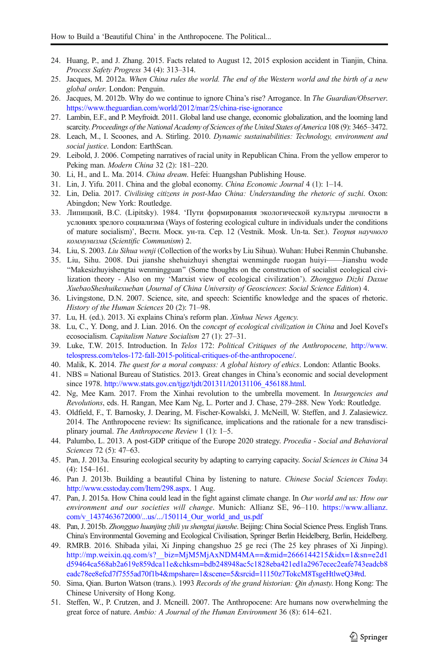- <span id="page-21-0"></span>24. Huang, P., and J. Zhang. 2015. Facts related to August 12, 2015 explosion accident in Tianjin, China. Process Safety Progress 34 (4): 313–314.
- 25. Jacques, M. 2012a. When China rules the world. The end of the Western world and the birth of a new global order. London: Penguin.
- 26. Jacques, M. 2012b. Why do we continue to ignore China's rise? Arrogance. In The Guardian/Observer. <https://www.theguardian.com/world/2012/mar/25/china-rise-ignorance>
- 27. Lambin, E.F., and P. Meyfroidt. 2011. Global land use change, economic globalization, and the looming land scarcity. Proceedings of the National Academy of Sciences of the United States of America 108 (9): 3465–3472.
- 28. Leach, M., I. Scoones, and A. Stirling. 2010. Dynamic sustainabilities: Technology, environment and social justice. London: EarthScan.
- 29. Leibold, J. 2006. Competing narratives of racial unity in Republican China. From the yellow emperor to Peking man. Modern China 32 (2): 181–220.
- 30. Li, H., and L. Ma. 2014. China dream. Hefei: Huangshan Publishing House.
- 31. Lin, J. Yifu. 2011. China and the global economy. China Economic Journal 4 (1): 1–14.
- 32. Lin, Delia. 2017. Civilising citizens in post-Mao China: Understanding the rhetoric of suzhi. Oxon: Abingdon; New York: Routledge.
- 33. Липицкий, В.С. (Lipitsky). 1984. 'Пути формирования экологической культуры личности в условиях зрелого социализма (Ways of fostering ecological culture in individuals under the conditions of mature socialism)', Вестн. Моск. ун-та. Сер. 12 (Vestnik. Mosk. Un-ta. Ser.). Теория научного коммунизма (Scientific Communism) 2.
- 34. Liu, S. 2003. Liu Sihua wenji (Collection of the works by Liu Sihua). Wuhan: Hubei Renmin Chubanshe.
- 35. Liu, Sihu. 2008. Dui jianshe shehuizhuyi shengtai wenmingde ruogan huiyi——Jianshu wode "Makesizhuyishengtai wenmingguan" (Some thoughts on the construction of socialist ecological civilization theory - Also on my 'Marxist view of ecological civilization'). Zhongguo Dizhi Daxue XuebaoSheshuikexueban (Journal of China University of Geosciences: Social Science Edition) 4.
- 36. Livingstone, D.N. 2007. Science, site, and speech: Scientific knowledge and the spaces of rhetoric. History of the Human Sciences 20 (2): 71–98.
- 37. Lu, H. (ed.). 2013. Xi explains China's reform plan. Xinhua News Agency.
- 38. Lu, C., Y. Dong, and J. Lian. 2016. On the concept of ecological civilization in China and Joel Kovel's ecosocialism. Capitalism Nature Socialism 27 (1): 27–31.
- 39. Luke, T.W. 2015. Introduction. In Telos 172: Political Critiques of the Anthropocene, [http://www.](http://www.telospress.com/telos-172-fall-2015-political-critiques-of-the-anthropocene/) [telospress.com/telos-172-fall-2015-political-critiques-of-the-anthropocene/.](http://www.telospress.com/telos-172-fall-2015-political-critiques-of-the-anthropocene/)
- 40. Malik, K. 2014. The quest for a moral compass: A global history of ethics. London: Atlantic Books.
- 41. NBS = National Bureau of Statistics. 2013. Great changes in China's economic and social development since 1978. [http://www.stats.gov.cn/tjgz/tjdt/201311/t20131106\\_456188.html.](http://www.stats.gov.cn/tjgz/tjdt/201311/t20131106_456188.html)
- 42. Ng, Mee Kam. 2017. From the Xinhai revolution to the umbrella movement. In Insurgencies and Revolutions, eds. H. Rangan, Mee Kam Ng, L. Porter and J. Chase, 279–288. New York: Routledge.
- 43. Oldfield, F., T. Barnosky, J. Dearing, M. Fischer-Kowalski, J. McNeill, W. Steffen, and J. Zalasiewicz. 2014. The Anthropocene review: Its significance, implications and the rationale for a new transdisciplinary journal. The Anthropocene Review 1 (1): 1–5.
- 44. Palumbo, L. 2013. A post-GDP critique of the Europe 2020 strategy. Procedia Social and Behavioral Sciences 72 (5): 47–63.
- 45. Pan, J. 2013a. Ensuring ecological security by adapting to carrying capacity. Social Sciences in China 34 (4): 154–161.
- 46. Pan J. 2013b. Building a beautiful China by listening to nature. Chinese Social Sciences Today. [http://www.csstoday.com/Item/298.aspx.](http://www.csstoday.com/Item/298.aspx) 1 Aug.
- 47. Pan, J. 2015a. How China could lead in the fight against climate change. In Our world and us: How our environment and our societies will change. Munich: Allianz SE, 96–110. [https://www.allianz.](https://www.allianz.com/v_1437463672000/...us/.../150114_Our_world_and_us.pdf) [com/v\\_1437463672000/...us/.../150114\\_Our\\_world\\_and\\_us.pdf](https://www.allianz.com/v_1437463672000/...us/.../150114_Our_world_and_us.pdf)
- 48. Pan, J. 2015b. Zhongguo huanjing zhili yu shengtai jianshe. Beijing: China Social Science Press. English Trans. China's Environmental Governing and Ecological Civilisation, Springer Berlin Heidelberg, Berlin, Heidelberg.
- 49. RMRB. 2016. Shibada yilai, Xi Jinping changshuo 25 ge reci (The 25 key phrases of Xi Jinping). [http://mp.weixin.qq.com/s?\\_\\_biz=MjM5MjAxNDM4MA==&mid=2666144215&idx=1&sn=e2d1](http://mp.weixin.qq.com/s?__biz=MjM5MjAxNDM4MA==&mid=2666144215&idx=1&sn=e2d1d59464ca568ab2a619e859dca11e&chksm=bdb248948ac5c1828eba421ed1a2967ecec2eafe743eadcb8eadc78ee8efcd7f7555ad70f1b4&mpshare=1&scene=5&srcid=11150z7TokcM8TsgeHtlweQ3#rd) [d59464ca568ab2a619e859dca11e&chksm=bdb248948ac5c1828eba421ed1a2967ecec2eafe743eadcb8](http://mp.weixin.qq.com/s?__biz=MjM5MjAxNDM4MA==&mid=2666144215&idx=1&sn=e2d1d59464ca568ab2a619e859dca11e&chksm=bdb248948ac5c1828eba421ed1a2967ecec2eafe743eadcb8eadc78ee8efcd7f7555ad70f1b4&mpshare=1&scene=5&srcid=11150z7TokcM8TsgeHtlweQ3#rd) [eadc78ee8efcd7f7555ad70f1b4&mpshare=1&scene=5&srcid=11150z7TokcM8TsgeHtlweQ3#rd.](http://mp.weixin.qq.com/s?__biz=MjM5MjAxNDM4MA==&mid=2666144215&idx=1&sn=e2d1d59464ca568ab2a619e859dca11e&chksm=bdb248948ac5c1828eba421ed1a2967ecec2eafe743eadcb8eadc78ee8efcd7f7555ad70f1b4&mpshare=1&scene=5&srcid=11150z7TokcM8TsgeHtlweQ3#rd)
- 50. Sima, Qian. Burton Watson (trans.). 1993 Records of the grand historian: Qin dynasty. Hong Kong: The Chinese University of Hong Kong.
- 51. Steffen, W., P. Crutzen, and J. Mcneill. 2007. The Anthropocene: Are humans now overwhelming the great force of nature. Ambio: A Journal of the Human Environment 36 (8): 614–621.